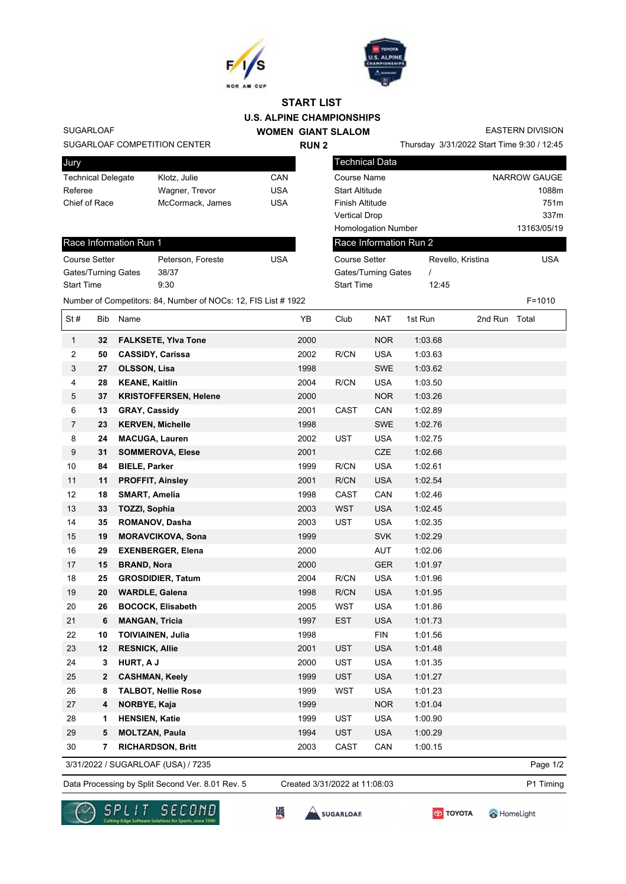



Start Time 12:45

## **U.S. ALPINE CHAMPIONSHIPS START LIST**

SUGARLOAF

## SUGARLOAF COMPETITION CENTER

| Jury                      |                  |     |
|---------------------------|------------------|-----|
| <b>Technical Delegate</b> | Klotz, Julie     | CAN |
| Referee                   | Wagner, Trevor   | USA |
| Chief of Race             | McCormack, James | USA |
|                           |                  |     |

## Race Information Run 1

| Peterson, Foreste | USA |
|-------------------|-----|
| 38/37             |     |
| 9:30              |     |
|                   |     |

**WOMEN GIANT SLALOM RUN 2**

EASTERN DIVISION

Thursday 3/31/2022 Start Time 9:30 / 12:45

| Technical Data             |                   |                  |
|----------------------------|-------------------|------------------|
| Course Name                |                   | NARROW GAUGE     |
| <b>Start Altitude</b>      |                   | 1088m            |
| Finish Altitude            |                   | 751 <sub>m</sub> |
| Vertical Drop              |                   | 337m             |
| <b>Homologation Number</b> |                   | 13163/05/19      |
| Race Information Run 2     |                   |                  |
| Course Setter              | Revello, Kristina | USA              |
| Gates/Turning Gates        |                   |                  |

|                |                | Number of Competitors: 84, Number of NOCs: 12, FIS List # 1922 |      |             |            |         |         | $F = 1010$ |
|----------------|----------------|----------------------------------------------------------------|------|-------------|------------|---------|---------|------------|
| St#            | Bib            | Name                                                           | YB   | Club        | NAT        | 1st Run | 2nd Run | Total      |
| $\mathbf{1}$   | 32             | <b>FALKSETE, Ylva Tone</b>                                     | 2000 |             | <b>NOR</b> | 1:03.68 |         |            |
| $\overline{2}$ | 50             | <b>CASSIDY, Carissa</b>                                        | 2002 | R/CN        | <b>USA</b> | 1:03.63 |         |            |
| 3              | 27             | <b>OLSSON, Lisa</b>                                            | 1998 |             | <b>SWE</b> | 1:03.62 |         |            |
| 4              | 28             | <b>KEANE, Kaitlin</b>                                          | 2004 | R/CN        | <b>USA</b> | 1:03.50 |         |            |
| 5              | 37             | <b>KRISTOFFERSEN, Helene</b>                                   | 2000 |             | <b>NOR</b> | 1:03.26 |         |            |
| 6              | 13             | <b>GRAY, Cassidy</b>                                           | 2001 | CAST        | CAN        | 1:02.89 |         |            |
| $\overline{7}$ | 23             | <b>KERVEN, Michelle</b>                                        | 1998 |             | <b>SWE</b> | 1:02.76 |         |            |
| 8              | 24             | <b>MACUGA, Lauren</b>                                          | 2002 | <b>UST</b>  | <b>USA</b> | 1:02.75 |         |            |
| 9              | 31             | <b>SOMMEROVA, Elese</b>                                        | 2001 |             | <b>CZE</b> | 1:02.66 |         |            |
| 10             | 84             | <b>BIELE, Parker</b>                                           | 1999 | R/CN        | <b>USA</b> | 1:02.61 |         |            |
| 11             | 11             | <b>PROFFIT, Ainsley</b>                                        | 2001 | R/CN        | <b>USA</b> | 1:02.54 |         |            |
| 12             | 18             | <b>SMART, Amelia</b>                                           | 1998 | <b>CAST</b> | CAN        | 1:02.46 |         |            |
| 13             | 33             | <b>TOZZI, Sophia</b>                                           | 2003 | <b>WST</b>  | <b>USA</b> | 1:02.45 |         |            |
| 14             | 35             | ROMANOV, Dasha                                                 | 2003 | <b>UST</b>  | <b>USA</b> | 1:02.35 |         |            |
| 15             | 19             | <b>MORAVCIKOVA, Sona</b>                                       | 1999 |             | <b>SVK</b> | 1:02.29 |         |            |
| 16             | 29             | <b>EXENBERGER, Elena</b>                                       | 2000 |             | <b>AUT</b> | 1:02.06 |         |            |
| 17             | 15             | <b>BRAND, Nora</b>                                             | 2000 |             | <b>GER</b> | 1:01.97 |         |            |
| 18             | 25             | <b>GROSDIDIER, Tatum</b>                                       | 2004 | R/CN        | <b>USA</b> | 1:01.96 |         |            |
| 19             | 20             | <b>WARDLE, Galena</b>                                          | 1998 | R/CN        | <b>USA</b> | 1:01.95 |         |            |
| 20             | 26             | <b>BOCOCK, Elisabeth</b>                                       | 2005 | <b>WST</b>  | <b>USA</b> | 1:01.86 |         |            |
| 21             | 6              | <b>MANGAN, Tricia</b>                                          | 1997 | <b>EST</b>  | <b>USA</b> | 1:01.73 |         |            |
| 22             | 10             | <b>TOIVIAINEN, Julia</b>                                       | 1998 |             | <b>FIN</b> | 1:01.56 |         |            |
| 23             | 12             | <b>RESNICK, Allie</b>                                          | 2001 | <b>UST</b>  | <b>USA</b> | 1:01.48 |         |            |
| 24             | 3              | HURT, A J                                                      | 2000 | <b>UST</b>  | <b>USA</b> | 1:01.35 |         |            |
| 25             | $\overline{2}$ | <b>CASHMAN, Keely</b>                                          | 1999 | <b>UST</b>  | <b>USA</b> | 1:01.27 |         |            |

3/31/2022 / SUGARLOAF (USA) / 7235

Page 1/2

Data Processing by Split Second Ver. 8.01 Rev. 5 Created 3/31/2022 at 11:08:03 P1 Timing

Created 3/31/2022 at 11:08:03

HomeLight





 **8 TALBOT, Nellie Rose** 1999 WST USA 1:01.23 **4 NORBYE, Kaja** 1999 NOR 1:01.04 **1 HENSIEN, Katie** 1999 UST USA 1:00.90 **5 MOLTZAN, Paula** 1994 UST USA 1:00.29 **7 RICHARDSON, Britt** 2003 CAST CAN 1:00.15

SUGARLOAF